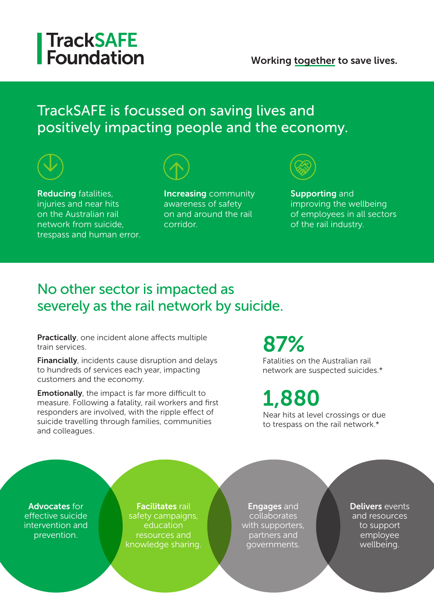## **TrackSAFE** Foundation

#### Working together to save lives.

#### TrackSAFE is focussed on saving lives and positively impacting people and the economy.



on the Australian rail network from suicide, trespass and human error. awareness of safety on and around the rail corridor.

improving the wellbeing of employees in all sectors of the rail industry.

#### No other sector is impacted as severely as the rail network by suicide.

Practically, one incident alone affects multiple train services.

Financially, incidents cause disruption and delays to hundreds of services each year, impacting customers and the economy.

**Emotionally**, the impact is far more difficult to measure. Following a fatality, rail workers and first responders are involved, with the ripple effect of suicide travelling through families, communities and colleagues.

# 87%

Fatalities on the Australian rail network are suspected suicides.\*

1,880

Near hits at level crossings or due to trespass on the rail network.\*

Advocates for effective suicide intervention and prevention.

**Facilitates rail** safety campaigns, education resources and knowledge sharing.

Engages and collaborates with supporters, partners and governments.

Delivers events and resources to support employee wellbeing.